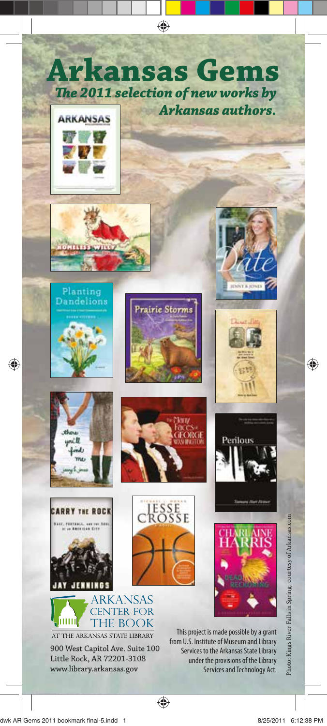















CROSSE







Little Rock, AR 72201-3108 www.library.arkansas.gov





This project is made possible by a grant from U.S. Institute of Museum and Library Services to the Arkansas State Library under the provisions of the Library Services and Technology Act.